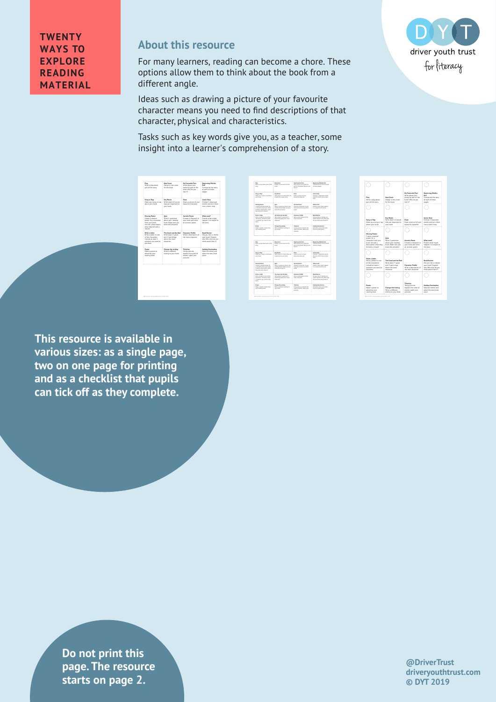**TWENTY WAYS TO EXPLORE READING MATERIAL**

## **About this resource**

For many learners, reading can become a chore. These options allow them to think about the book from a different angle.

Ideas such as drawing a picture of your favourite character means you need to find descriptions of that character, physical and characteristics.

Tasks such as key words give you, as a teacher, some insight into a learner's comprehension of a story.

| Play<br>Write a play about<br>part of the story.                                                                                                                  | <b>New Cover</b><br>Design a new cover<br>for the hord                                           | My Fayourite Part<br>Write about your<br>favourite part of the<br>book. Why do you<br><b>High IP2</b> | Beginning, Middle,<br><b>Dod</b><br>Summarise the story<br>at each of these<br>stages                                   |
|-------------------------------------------------------------------------------------------------------------------------------------------------------------------|--------------------------------------------------------------------------------------------------|-------------------------------------------------------------------------------------------------------|-------------------------------------------------------------------------------------------------------------------------|
| Song or Rap<br>Make up a song or rap<br>about your book                                                                                                           | Key Words<br>Write down 10 words<br>that are important to<br>your book                           | Drear<br>Draw a picture of your<br>fauncilla character                                                | Comic Strip<br>Choose 5 important<br>months and turn tham<br>into a comic strip                                         |
| <b>Missing Poster</b><br>Crashe a wanted<br>noster for a character<br>from your book.<br>Include a description.<br>what they did and a<br><b><i>COMMERCIA</i></b> | Outz<br>Wite 5 questions<br>about your reading<br>book. Make sure you<br><b>Immy the amount!</b> | <b>Armetic Bases</b><br>Choose a character in<br>your book and write<br>an acrostic ocem              | What next?<br>Predict what might<br>happen in a sequel to<br>the story                                                  |
| Write a Letter<br>Write a latter to con-<br>of the characters.<br>burbada at launt 1<br>question you want to<br>ask them                                          | The Cood and the Bad<br>Write down 5 good<br>and 5 bad things<br>about the main.<br>character    | Character Dreftle<br>Write a description of<br>the main character                                     | <b>Book Boyley</b><br>Did you like or dislike<br>your book? Explain<br>why. Who else do you<br>shirds sensible like in? |
| <b>Doubar</b><br>Make a poster to<br>advertise your<br>reading book                                                                                               | Change the ending<br>With a different<br>ending to your book                                     | Timeline<br>Using pictures<br>explain the order of<br>events, Label your<br>pictures.                 | <b>Holiday Destination</b><br>Describe where and<br>when the story took<br>olsce                                        |

| Write a stay about eart of the<br>share.                                                                                                  | <b>New Cover</b><br>Decision a new career for the<br>n and a                                    | <b>My Favourite Part</b><br><b>Nite about your Serouster</b><br>part of the book? Mhy do you<br><b>She IIT</b> | <b>Brainning Middle, Brd</b><br>Sammarine the story at each<br>of these stages.                                     |
|-------------------------------------------------------------------------------------------------------------------------------------------|-------------------------------------------------------------------------------------------------|----------------------------------------------------------------------------------------------------------------|---------------------------------------------------------------------------------------------------------------------|
| <b>Sensor East</b><br>Make up a sampler rap about<br>your book.                                                                           | <b>Particular</b><br>Write down 10 monb/that are<br>Important to your book                      | Page 1<br>Diew a sixture of your<br>Severally character.                                                       | <b>County State</b><br>Choose 1 Important events<br>and turn them into a comic<br><b>Address</b>                    |
| <b>Missing Pager</b><br>Create a manied poster for<br>a character from your book.<br>Include a description what<br>thru did and a reward  | ous<br>Write 1 questions about your<br>reading book. Hate sure you<br><b>Same the annual</b>    | <b>According Boones</b><br>Chesse a character in your<br>book and write an aurestic.<br>sons.                  | <b>Mind could</b><br>Predict educt mixtu hassen.<br>In a seased to the story                                        |
| Motion & Selling<br>With a billion by your of the<br>sharesters, include at least<br>I sumdian you want to ach<br>nin.                    | The Good and the Bad<br>This does 1 mod and 1<br>bad things about the main<br><b>CONTRACTOR</b> | <b>Character Profile</b><br><b>Title a deposition of the</b><br>mate channels.                                 | <b>Bank Series</b><br>Did you like or divide your<br>book? Explain why Who what<br>da vas third would like it?      |
| <b>Business</b><br>Make a poster to advertise<br>your reading book.                                                                       | Change the ending<br>this a different engine to<br>your book.                                   | TimeCow<br>Done exhance earlier the<br>order of events Label your<br>sisters.                                  | <b>Hellder Designation</b><br>Dealthy where and when<br>the docution state                                          |
|                                                                                                                                           |                                                                                                 |                                                                                                                |                                                                                                                     |
|                                                                                                                                           |                                                                                                 |                                                                                                                |                                                                                                                     |
| Pins<br>Write a stay about eart of the<br>store                                                                                           | <b>Manufacture</b><br>Decision a new career for the<br><b>South</b>                             | <b>My Favourite Part</b><br><b>Nite about your Serouster</b><br>part of the book? Mhy do you<br><b>She MT</b>  | <b>Brainning Middle, Brd</b><br>of these stages.                                                                    |
| <b>Sensor East</b><br>Make up a sampler rap about<br>your book.                                                                           | <b>Key Words</b><br>Write down 10 monb/that are<br>Important to your book                       | Page 1<br>Diew a shikuw of your<br><b>Sensativ character</b>                                                   | Sammarine the story at each<br>Camia Stote<br>Choose 1 Important events<br>and turn them into a comic<br><b>MAK</b> |
| <b>Missing Paster</b><br>Create a warried poster for<br>a character from your book.<br>Include a description what<br>thru did and a mound | ous<br>Write 1 outstand about your<br>reading book. Hate sure you<br>know the answers?          | <b>Acresta Parm</b><br>Chease a character in your<br>book and write an asredist<br><b>COLOR</b>                | What each?<br>Predict what middlibases.<br>In a seased to the story                                                 |
| <b>Motiva Seller</b><br><b>Nicke a briter ba any of the</b><br>sharesters, include at least<br>I sumdian you want to ach<br><b>Dealer</b> | The Good and the Bad<br>Write down 1 mod and 1<br>led things about the main<br><b>OWATE</b>     | <b>Character Profile</b><br><b>Title a deposition of the</b><br>main character                                 | <b>Bank Series</b><br>Did you like or divide your<br>book? Explain why Who what<br>da von third would like it?      |

| Play<br>Write a play about<br>part of the story                                                                                                  | <b>Mess County</b><br>Design a new cover<br>for the book.                                    | My Favourite Part<br>Write about your<br>favourite part of the<br>book? Why do you<br>Like it? | Beginning, Middle,<br>End<br>Summarise the story<br>at each of these<br>stages                                      |
|--------------------------------------------------------------------------------------------------------------------------------------------------|----------------------------------------------------------------------------------------------|------------------------------------------------------------------------------------------------|---------------------------------------------------------------------------------------------------------------------|
|                                                                                                                                                  |                                                                                              |                                                                                                |                                                                                                                     |
| Song or Rap<br>Make up a song or rap<br>about your book                                                                                          | Key Words<br>Write down 10 words<br>that are important to<br>your book                       | Draw<br>Draw a picture of your<br>Expressing character.                                        | Comic Strip<br>Choose 5 important<br>events and turn them<br>into a comic strip                                     |
|                                                                                                                                                  |                                                                                              |                                                                                                |                                                                                                                     |
| <b>Missing Poster</b><br>Create a wanted<br>poster for a<br>character from your<br>book, Include a<br>description, what they<br>did and a reward | Oulz<br>Write 5 questions<br>about your reading<br>book. Make sure you<br>know the answers!  | <b>Arrowsty Downs</b><br>Choose a character in<br>your book and write<br>an acrostic poem      | What next?<br>Predict what might<br>happen in a sequel to<br>the story                                              |
|                                                                                                                                                  |                                                                                              |                                                                                                |                                                                                                                     |
| Write a letter<br>Write a letter to one<br>of the characters<br>Include at least 1<br>question you want to<br>ask them                           | The Good and the Bad<br>Write down 3 cood<br>and 5 bad things<br>about the main<br>character | <b>Character Profile</b><br>Write a description of<br>the main character                       | <b>Book Review</b><br>Did you like or distike<br>your book? Explain<br>why. Who else do you<br>think would like it? |
|                                                                                                                                                  |                                                                                              |                                                                                                |                                                                                                                     |
| Poster<br>Make a poster to<br>advertise your<br>mading book                                                                                      | Change the ending<br>Write a different<br>ending to your book                                | Timeline<br>Using pictures<br>explain the order of<br>events, Label your<br>pictures           | <b>Holiday Destination</b><br>Describe where and<br>when the story took<br>place                                    |

**This resource is available in various sizes: as a single page, two on one page for printing and as a checklist that pupils can tick off as they complete.**

**drivers in text** is tarts on page 2. **Do not print this page. The resource** 

**@DriverTrust driveryouthtrust.com © DYT 2019**

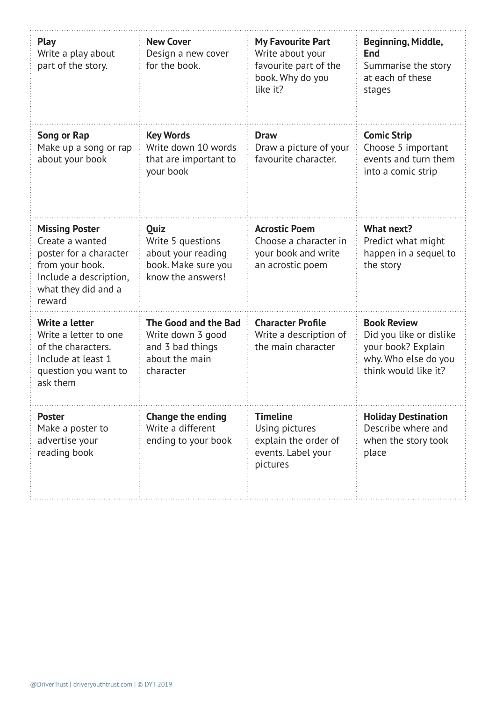| <b>Play</b><br>Write a play about<br>part of the story.                                                                                          | <b>New Cover</b><br>Design a new cover<br>for the book.                                      | <b>My Favourite Part</b><br>Write about your<br>favourite part of the<br>book. Why do you<br>like it? | Beginning, Middle,<br><b>End</b><br>Summarise the story<br>at each of these<br>stages                               |
|--------------------------------------------------------------------------------------------------------------------------------------------------|----------------------------------------------------------------------------------------------|-------------------------------------------------------------------------------------------------------|---------------------------------------------------------------------------------------------------------------------|
| Song or Rap<br>Make up a song or rap<br>about your book                                                                                          | <b>Key Words</b><br>Write down 10 words<br>that are important to<br>your book                | <b>Draw</b><br>Draw a picture of your<br>favourite character.                                         | <b>Comic Strip</b><br>Choose 5 important<br>events and turn them<br>into a comic strip                              |
| <b>Missing Poster</b><br>Create a wanted<br>poster for a character<br>from your book.<br>Include a description,<br>what they did and a<br>reward | Quiz<br>Write 5 questions<br>about your reading<br>book. Make sure you<br>know the answers!  | <b>Acrostic Poem</b><br>Choose a character in<br>your book and write<br>an acrostic poem              | What next?<br>Predict what might<br>happen in a sequel to<br>the story                                              |
| Write a letter<br>Write a letter to one<br>of the characters.<br>Include at least 1<br>question you want to<br>ask them                          | The Good and the Bad<br>Write down 3 good<br>and 3 bad things<br>about the main<br>character | <b>Character Profile</b><br>Write a description of<br>the main character                              | <b>Book Review</b><br>Did you like or dislike<br>your book? Explain<br>why. Who else do you<br>think would like it? |
| <b>Poster</b><br>Make a poster to<br>advertise your<br>reading book                                                                              | <b>Change the ending</b><br>Write a different<br>ending to your book                         | <b>Timeline</b><br>Using pictures<br>explain the order of<br>events. Label your<br>pictures           | <b>Holiday Destination</b><br>Describe where and<br>when the story took<br>place                                    |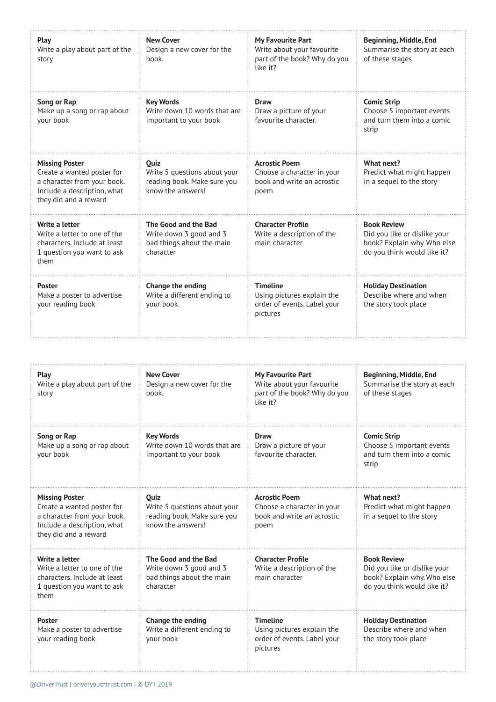| Play<br>Write a play about part of the<br>story                                                                                            | <b>New Cover</b><br>Design a new cover for the<br>book.                                   | <b>My Favourite Part</b><br>Write about your favourite<br>part of the book? Why do you<br>like it? | Beginning, Middle, End<br>Summarise the story at each<br>of these stages                                         |
|--------------------------------------------------------------------------------------------------------------------------------------------|-------------------------------------------------------------------------------------------|----------------------------------------------------------------------------------------------------|------------------------------------------------------------------------------------------------------------------|
| Song or Rap<br>Make up a song or rap about<br>your book                                                                                    | <b>Key Words</b><br>Write down 10 words that are<br>important to your book                | Draw<br>Draw a picture of your<br>favourite character.                                             | <b>Comic Strip</b><br>Choose 5 important events<br>and turn them into a comic<br>strip                           |
| <b>Missing Poster</b><br>Create a wanted poster for<br>a character from your book.<br>Include a description, what<br>they did and a reward | Quiz<br>Write 5 questions about your<br>reading book. Make sure you<br>know the answers!  | <b>Acrostic Poem</b><br>Choose a character in your<br>book and write an acrostic<br>poem           | What next?<br>Predict what might happen<br>in a sequel to the story                                              |
| Write a letter<br>Write a letter to one of the<br>characters. Include at least<br>1 question you want to ask<br>them                       | The Good and the Bad<br>Write down 3 good and 3<br>bad things about the main<br>character | <b>Character Profile</b><br>Write a description of the<br>main character                           | <b>Book Review</b><br>Did you like or dislike your<br>book? Explain why. Who else<br>do you think would like it? |
| <b>Poster</b><br>Make a poster to advertise<br>your reading book                                                                           | Change the ending<br>Write a different ending to<br>your book                             | <b>Timeline</b><br>Using pictures explain the<br>order of events. Label your<br>pictures           | <b>Holiday Destination</b><br>Describe where and when<br>the story took place                                    |

| Play<br>Write a play about part of the<br>story                                                                                            | <b>New Cover</b><br>Design a new cover for the<br>book.                                         | <b>My Favourite Part</b><br>Write about your favourite<br>part of the book? Why do you<br>like it? | Beginning, Middle, End<br>Summarise the story at each<br>of these stages                                         |
|--------------------------------------------------------------------------------------------------------------------------------------------|-------------------------------------------------------------------------------------------------|----------------------------------------------------------------------------------------------------|------------------------------------------------------------------------------------------------------------------|
| Song or Rap<br>Make up a song or rap about<br>your book                                                                                    | <b>Key Words</b><br>Write down 10 words that are<br>important to your book                      | <b>Draw</b><br>Draw a picture of your<br>favourite character.                                      | <b>Comic Strip</b><br>Choose 5 important events<br>and turn them into a comic<br>strip                           |
| <b>Missing Poster</b><br>Create a wanted poster for<br>a character from your book.<br>Include a description, what<br>they did and a reward | <b>Ouiz</b><br>Write 5 questions about your<br>reading book. Make sure you<br>know the answers! | <b>Acrostic Poem</b><br>Choose a character in your<br>book and write an acrostic<br>poem           | What next?<br>Predict what might happen<br>in a sequel to the story                                              |
| Write a letter<br>Write a letter to one of the<br>characters. Include at least<br>1 question you want to ask<br>them                       | The Good and the Bad<br>Write down 3 good and 3<br>bad things about the main<br>character       | <b>Character Profile</b><br>Write a description of the<br>main character                           | <b>Book Review</b><br>Did you like or dislike your<br>book? Explain why. Who else<br>do you think would like it? |
| <b>Poster</b><br>Make a poster to advertise<br>your reading book                                                                           | Change the ending<br>Write a different ending to<br>your book                                   | <b>Timeline</b><br>Using pictures explain the<br>order of events. Label your<br>pictures           | <b>Holiday Destination</b><br>Describe where and when<br>the story took place                                    |